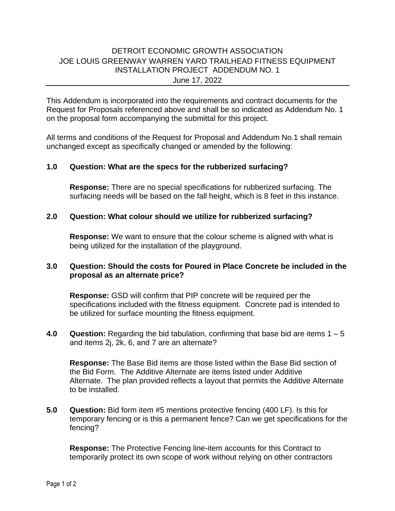# DETROIT ECONOMIC GROWTH ASSOCIATION JOE LOUIS GREENWAY WARREN YARD TRAILHEAD FITNESS EQUIPMENT INSTALLATION PROJECT ADDENDUM NO. 1 June 17, 2022

This Addendum is incorporated into the requirements and contract documents for the Request for Proposals referenced above and shall be so indicated as Addendum No. 1 on the proposal form accompanying the submittal for this project.

All terms and conditions of the Request for Proposal and Addendum No.1 shall remain unchanged except as specifically changed or amended by the following:

### **1.0 Question: What are the specs for the rubberized surfacing?**

**Response:** There are no special specifications for rubberized surfacing. The surfacing needs will be based on the fall height, which is 8 feet in this instance.

### **2.0 Question: What colour should we utilize for rubberized surfacing?**

**Response:** We want to ensure that the colour scheme is aligned with what is being utilized for the installation of the playground.

## **3.0 Question: Should the costs for Poured in Place Concrete be included in the proposal as an alternate price?**

**Response:** GSD will confirm that PIP concrete will be required per the specifications included with the fitness equipment. Concrete pad is intended to be utilized for surface mounting the fitness equipment.

**4.0 Question:** Regarding the bid tabulation, confirming that base bid are items 1 – 5 and items 2j, 2k, 6, and 7 are an alternate?

**Response:** The Base Bid items are those listed within the Base Bid section of the Bid Form. The Additive Alternate are items listed under Additive Alternate. The plan provided reflects a layout that permits the Additive Alternate to be installed.

**5.0 Question:** Bid form item #5 mentions protective fencing (400 LF). Is this for temporary fencing or is this a permanent fence? Can we get specifications for the fencing?

**Response:** The Protective Fencing line-item accounts for this Contract to temporarily protect its own scope of work without relying on other contractors